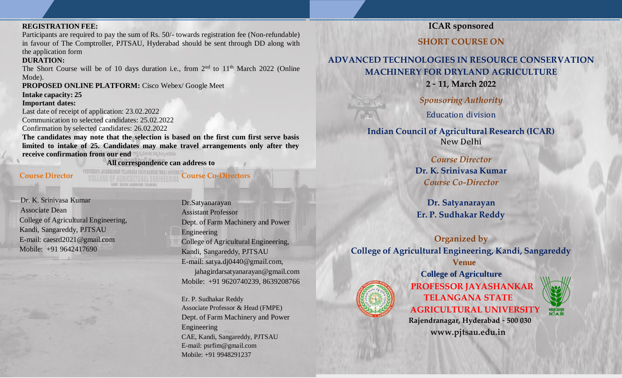#### **REGISTRATION FEE:**

Participants are required to pay the sum of Rs. 50/- towards registration fee (Non-refundable) in favour of The Comptroller, PJTSAU, Hyderabad should be sent through DD along with the application form

## **DURATION:**

The Short Course will be of 10 days duration i.e., from  $2<sup>nd</sup>$  to  $11<sup>th</sup>$  March 2022 (Online Mode).

**PROPOSED ONLINE PLATFORM:** Cisco Webex/ Google Meet

**Intake capacity: 25**

#### **Important dates:**

Last date of receipt of application: 23.02.2022 Communication to selected candidates: 25.02.2022

Confirmation by selected candidates: 26.02.2022

**The candidates may note that the selection is based on the first cum first serve basis limited to intake of 25. Candidates may make travel arrangements only after they receive confirmation from our end**

**All correspondence can address to**

**Course Director Course Co-Directors**

Dr. K. Srinivasa Kumar Associate Dean College of Agricultural Engineering, Kandi, Sangareddy, PJTSAU E-mail: [caesrd2021@gmail.com](mailto:caesrd2021@gmail.com) Mobile: +91 9642417690

Dr.Satyanarayan Assistant Professor Dept. of Farm Machinery and Power Engineering College of Agricultural Engineering, Kandi, Sangareddy, PJTSAU E-mail: [satya.dj0440@gmail.com,](mailto:satya.dj0440@gmail.com) [jahagirdarsatyanarayan@gmail.com](mailto:jahagirdarsatyanarayan@gmail.com) Mobile: +91 9620740239, 8639208766

Er. P. Sudhakar Reddy Associate Professor & Head (FMPE) Dept. of Farm Machinery and Power Engineering CAE, Kandi, Sangareddy, PJTSAU E-mail: [psrfim@gmail.com](mailto:psrfim@gmail.com) Mobile: +91 9948291237

# **ICAR sponsored**

**SHORT COURSE ON**

# **ADVANCED TECHNOLOGIES IN RESOURCE CONSERVATION MACHINERY FOR DRYLAND AGRICULTURE**

**2** *–* **11, March 2022**

*Sponsoring Authority*

Education division

**Indian Council of Agricultural Research (ICAR)** New Delhi

> *Course Director* **Dr. K. Srinivasa Kumar** *Course Co-Director*

**Dr. Satyanarayan Er. P. Sudhakar Reddy**

**Organized by College of Agricultural Engineering, Kandi, Sangareddy Venue**



**College of Agriculture PROFESSOR JAYASHANKAR TELANGANA STATE AGRICULTURAL UNIVERSITY**



**Rajendranagar, Hyderabad** *–* **500 030 [www.pjtsau.edu.in](http://www.pjtsau.edu.in/)**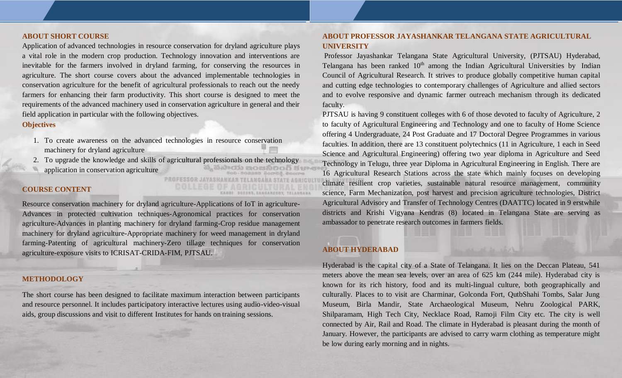#### **ABOUT SHORT COURSE**

Application of advanced technologies in resource conservation for dryland agriculture plays a vital role in the modern crop production. Technology innovation and interventions are inevitable for the farmers involved in dryland farming, for conserving the resources in agriculture. The short course covers about the advanced implementable technologies in conservation agriculture for the benefit of agricultural professionals to reach out the needy farmers for enhancing their farm productivity. This short course is designed to meet the requirements of the advanced machinery used in conservation agriculture in general and their field application in particular with the following objectives.

#### **Objectives**

- 1. To create awareness on the advanced technologies in resource conservation machinery for dryland agriculture
- 2. To upgrade the knowledge and skills of agricultural professionals on the technology

**PROFESSOR JAYAS** 

application in conservation agriculture

### **COURSE CONTENT**

Resource conservation machinery for dryland agriculture-Applications of IoT in agriculture-Advances in protected cultivation techniques-Agronomical practices for conservation agriculture-Advances in planting machinery for dryland farming-Crop residue management machinery for dryland agriculture-Appropriate machinery for weed management in dryland farming-Patenting of agricultural machinery-Zero tillage techniques for conservation agriculture-exposure visits to ICRISAT-CRIDA-FIM, PJTSAU.

#### **METHODOLOGY**

The short course has been designed to facilitate maximum interaction between participants and resource personnel. It includes participatory interactive lectures using audio-video-visual aids, group discussions and visit to different Institutes for hands on training sessions.

### **ABOUT PROFESSOR JAYASHANKAR TELANGANA STATE AGRICULTURAL UNIVERSITY**

Professor Jayashankar Telangana State Agricultural University, (PJTSAU) Hyderabad, Telangana has been ranked  $10<sup>th</sup>$  among the Indian Agricultural Universities by Indian Council of Agricultural Research. It strives to produce globally competitive human capital and cutting edge technologies to contemporary challenges of Agriculture and allied sectors and to evolve responsive and dynamic farmer outreach mechanism through its dedicated faculty.

PJTSAU is having 9 constituent colleges with 6 of those devoted to faculty of Agriculture, 2 to faculty of Agricultural Engineering and Technology and one to faculty of Home Science offering 4 Undergraduate, 24 Post Graduate and 17 Doctoral Degree Programmes in various faculties. In addition, there are 13 constituent polytechnics (11 in Agriculture, 1 each in Seed Science and Agricultural Engineering) offering two year diploma in Agriculture and Seed Technology in Telugu, three year Diploma in Agricultural Engineering in English. There are 16 Agricultural Research Stations across the state which mainly focuses on developing climate resilient crop varieties, sustainable natural resource management, community science, Farm Mechanization, post harvest and precision agriculture technologies, District Agricultural Advisory and Transfer of Technology Centres (DAATTC) located in 9 erstwhile districts and Krishi Vigyana Kendras (8) located in Telangana State are serving as ambassador to penetrate research outcomes in farmers fields.

## **ABOUT HYDERABAD**

Hyderabad is the capital city of a State of Telangana. It lies on the Deccan Plateau, 541 meters above the mean sea levels, over an area of 625 km (244 mile). Hyderabad city is known for its rich history, food and its multi-lingual culture, both geographically and culturally. Places to to visit are Charminar, Golconda Fort, QutbShahi Tombs, Salar Jung Museum, Birla Mandir, State Archaeological Museum, Nehru Zoological PARK, Shilparamam, High Tech City, Necklace Road, Ramoji Film City etc. The city is well connected by Air, Rail and Road. The climate in Hyderabad is pleasant during the month of January. However, the participants are advised to carry warm clothing as temperature might be low during early morning and in nights.